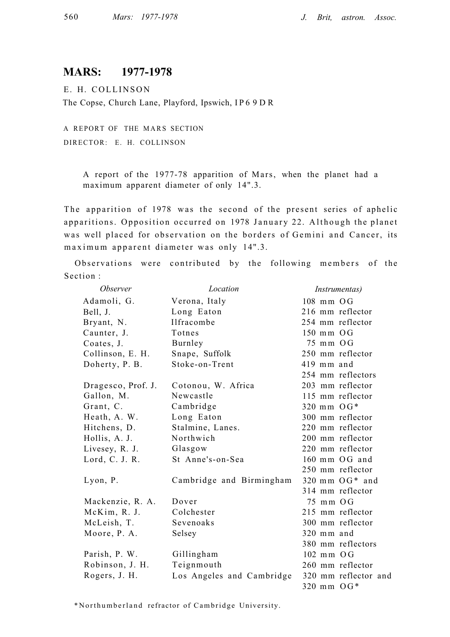# **MARS: 1977-1978**

Ε. H. COLLINSO N The Copse, Church Lane, Playford, Ipswich, I P 6 9 D R

A REPORT OF THE MARS SECTION DIRECTOR: Ε. H. COLLINSON

> A report of the 1977-78 apparition of Mars, when the planet had a maximum apparent diameter of only 14".3.

The apparition of 1978 was the second of the present series of aphelic apparitions. Opposition occurred on 1978 January 22. Although the planet was well placed for observation on the borders of Gemini and Cancer, its maximum apparent diameter was only 14".3.

Observations were contributed by the following members of the Section :

| <i><b>Observer</b></i> | Location                  | <i>Instrumentas</i> )    |  |  |  |
|------------------------|---------------------------|--------------------------|--|--|--|
| Adamoli, G.            | Verona, Italy             | $108$ mm $OG$            |  |  |  |
| Bell, J.               | Long Eaton                | 216 mm reflector         |  |  |  |
| Bryant, N.             | Ilfracombe                | 254 mm reflector         |  |  |  |
| Caunter, J.            | Totnes                    | $150$ mm $OG$            |  |  |  |
| Coates, J.             | Burnley                   | 75 mm OG                 |  |  |  |
| Collinson, E. H.       | Snape, Suffolk            | 250 mm reflector         |  |  |  |
| Doherty, P. B.         | Stoke-on-Trent            | 419 mm and               |  |  |  |
|                        |                           | 254 mm reflectors        |  |  |  |
| Dragesco, Prof. J.     | Cotonou, W. Africa        | 203 mm reflector         |  |  |  |
| Gallon, M.             | Newcastle                 | 115 mm reflector         |  |  |  |
| Grant, C.              | Cambridge                 | 320 mm $OG*$             |  |  |  |
| Heath, A. W.           | Long Eaton                | 300 mm reflector         |  |  |  |
| Hitchens, D.           | Stalmine, Lanes.          | 220 mm reflector         |  |  |  |
| Hollis, A. J.          | Northwich                 | 200 mm reflector         |  |  |  |
| Livesey, R. J.         | Glasgow                   | 220 mm reflector         |  |  |  |
| Lord, C. J. R.         | St Anne's-on-Sea          | $160$ mm $OG$ and        |  |  |  |
|                        |                           | 250 mm reflector         |  |  |  |
| Lyon, P.               | Cambridge and Birmingham  | $320$ mm $OG*$ and       |  |  |  |
|                        |                           | 314 mm reflector         |  |  |  |
| Mackenzie, R. A.       | Dover                     | $75 \text{ mm}$ OG       |  |  |  |
| McKim, R. J.           | Colchester                | 215 mm reflector         |  |  |  |
| McLeish, T.            | Sevenoaks                 | 300 mm reflector         |  |  |  |
| Moore, P. A.           | Selsey                    | 320 mm and               |  |  |  |
|                        |                           | 380 mm reflectors        |  |  |  |
| Parish, P. W.          | Gillingham                | $102$ mm $\overline{OG}$ |  |  |  |
| Robinson, J. H.        | Teignmouth                | 260 mm reflector         |  |  |  |
| Rogers, J. H.          | Los Angeles and Cambridge | 320 mm reflector and     |  |  |  |
|                        |                           | $320$ mm $OG*$           |  |  |  |

\*Northumberland refractor of Cambridge University.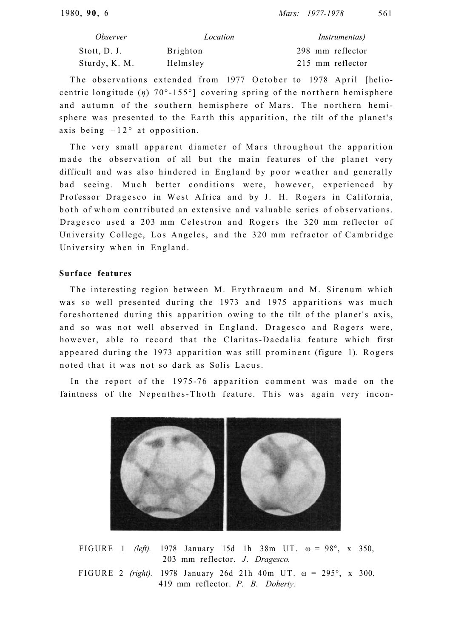| <i><b>Observer</b></i> | Location | <i>Instrumentas</i> ) |
|------------------------|----------|-----------------------|
| Stott, D. J.           | Brighton | 298 mm reflector      |
| Sturdy, K. M.          | Helmsley | 215 mm reflector      |

The observations extended from 1977 October to 1978 April [heliocentric longitude  $(n)$  70°-155°] covering spring of the northern hemisphere and autumn of the southern hemisphere of Mars. The northern hemisphere was presented to the Earth this apparition, the tilt of the planet's axis being  $+12$ ° at opposition.

The very small apparent diameter of Mars throughout the apparition made the observation of all but the main features of the planet very difficult and was also hindered in England by poor weather and generally bad seeing. Much better conditions were, however, experienced by Professor Dragesco in West Africa and by J. H. Rogers in California, both of whom contributed an extensive and valuable series of observations. Dragesco used a 203 mm Celestron and Rogers the 320 mm reflector of University College, Los Angeles, and the 320 mm refractor of Cambridge University when in England.

## **Surface features**

The interesting region between M. Erythraeum and M. Sirenum which was so well presented during the 1973 and 1975 apparitions was much foreshortened during this apparition owing to the tilt of the planet's axis, and so was not well observed in England. Dragesco and Rogers were, however, able to record that the Claritas-Daedalia feature which first appeared during the 1973 apparition was still prominent (figure 1). Rogers noted that it was not so dark as Solis Lacus.

In the report of the 1975-76 apparition comment was made on the faintness of the Nepenthes-Thoth feature. This was again very incon-



FIGURE 1 *(left)*. 1978 January 15d 1h 38m UT.  $\omega = 98^\circ$ , x 350, 203 mm reflector. *J*. *Dragesco.* FIGURE 2 *(right).* 1978 January 26d 21h 40m UT.  $\omega = 295^{\circ}$ , x 300, 419 mm reflector. *P. B. Doherty.*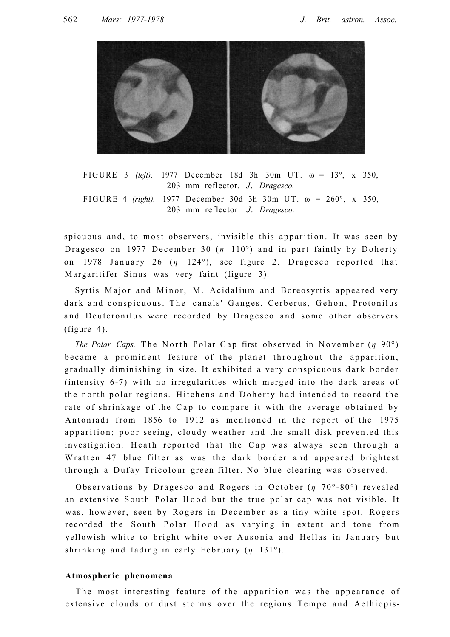

FIGURE 3 *(left)*. 1977 December 18d 3h 30m UT.  $\omega = 13^{\circ}$ , x 350. 203 mm reflector. *J*. *Dragesco.* FIGURE 4 *(right)*. 1977 December 30d 3h 30m UT.  $\omega = 260^{\circ}$ , x 350, 203 mm reflector. *J*. *Dragesco.*

spicuous and, to most observers, invisible this apparition. It was seen by Dragesco on 1977 December 30 (*η* 110<sup>o</sup>) and in part faintly by Doherty on 1978 January 26 (*η* 124°), see figure 2. Dragesco reported that Margaritifer Sinus was very faint (figure 3).

Syrtis Major and Minor, M. Acidalium and Boreosyrtis appeared very dark and conspicuous. The 'canals' Ganges, Cerberus, Gehon, Protonilus and Deuteronilus were recorded by Dragesco and some other observers (figure 4).

*The Polar Caps.* The North Polar Cap first observed in November (*η* 90°) became a prominent feature of the planet throughout the apparition, gradually diminishing in size. It exhibited a very conspicuous dark border (intensity 6-7) with no irregularities which merged into the dark areas of the north polar regions. Hitchens and Doherty had intended to record the rate of shrinkage of the Cap to compare it with the average obtained by Antoniadi from 1856 to 1912 as mentioned in the report of the 1975 apparition; poor seeing, cloudy weather and the small disk prevented this investigation. Heath reported that the Cap was always seen through a Wratten 47 blue filter as was the dark border and appeared brightest through a Dufay Tricolour green filter. No blue clearing was observed.

Observations by Dragesco and Rogers in October (*η* 70°-80°) revealed an extensive South Polar Hood but the true polar cap was not visible. It was, however, seen by Rogers in December as a tiny white spot. Rogers recorded the South Polar Hood as varying in extent and tone from yellowish white to bright white over Ausonia and Hellas in January but shrinking and fading in early February (*η* 131<sup>o</sup>).

#### **Atmospheric phenomena**

The most interesting feature of the apparition was the appearance of extensive clouds or dust storms over the regions Tempe and Aethiopis-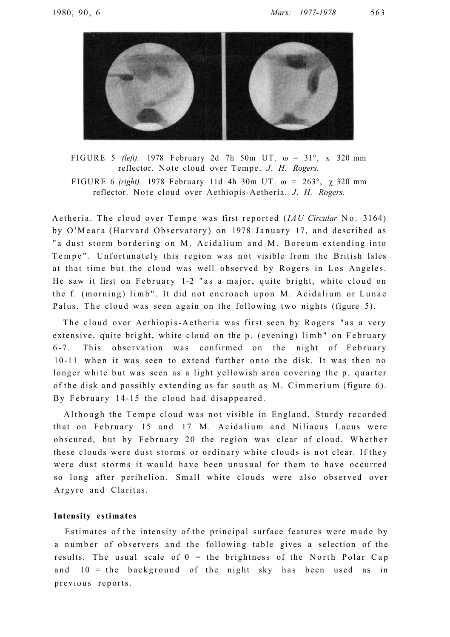

FIGURE 5 *(left)*. 1978 February 2d 7h 50m UT.  $\omega = 31^\circ$ , x 320 mm reflector. Note cloud over Tempe. *J. H. Rogers.* FIGURE 6 *(right).* 1978 February 11d 4h 30m UT. ω = 263°, χ 320 mm reflector. Note cloud over Aethiopis-Aetheria. *J. H. Rogers.* 

Aetheria. The cloud over Tempe was first reported *(IAU Circular* No. 3164) by O'Meara (Harvard Observatory) on 1978 January 17, and described as " a dust storm bordering on M. Acidalium and M. Boreum extending into Tempe". Unfortunately this region was not visible from the British Isles at that time but the cloud was well observed by Rogers in Los Angeles. He saw it first on February 1-2 "as a major, quite bright, white cloud on the f. (morning) limb". It did not encroach upon M. Acidalium or Lunae Palus. The cloud was seen again on the following two nights (figure 5).

The cloud over Aethiopis-Aetheria was first seen by Rogers "as a very extensive, quite bright, white cloud on the p. (evening) limb" on February 6-7. This observation was confirmed on the night of February 10-11 when it was seen to extend further onto the disk. It was then no longer white but was seen as a light yellowish area covering the p. quarter of the disk and possibly extending as far south as  $M$ . Cimmerium (figure 6). By February 14-15 the cloud had disappeared.

Although the Tempe cloud was not visible in England, Sturdy recorded that on February 15 and 17 M. Acidalium and Niliacus Lacus were obscured, but by February 20 the region was clear of cloud. Whether these clouds were dust storms or ordinary white clouds is not clear. If they were dust storms it would have been unusual for them to have occurred so long after perihelion. Small white clouds were also observed over Argyre and Claritas.

#### **Intensity estimates**

Estimates of the intensity of the principal surface features were made by a number of observers and the following table gives a selection of the results. The usual scale of  $0 =$  the brightness of the North Polar Cap and  $10 =$  the background of the night sky has been used as in previous reports.